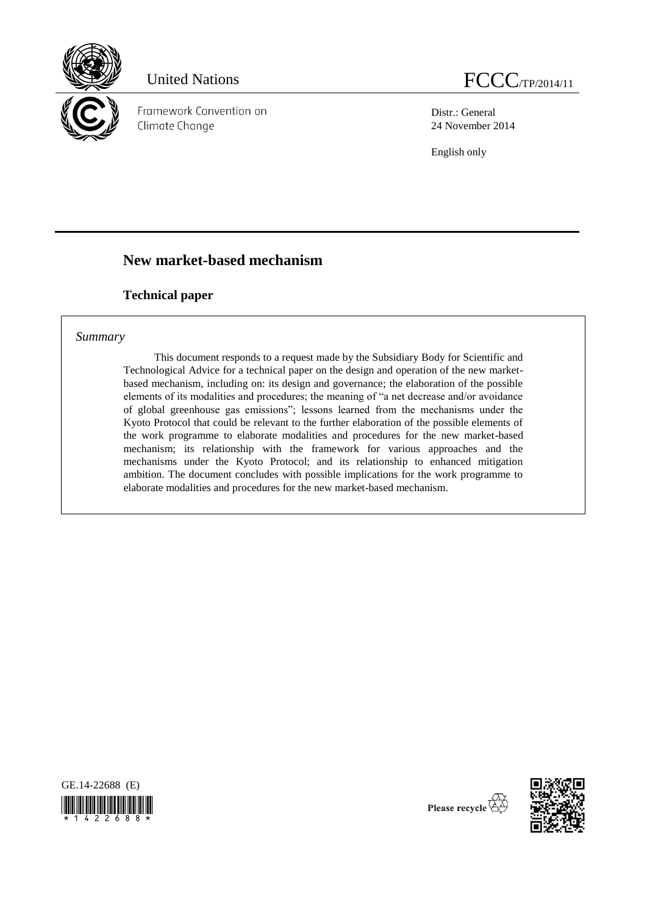

Framework Convention on Climate Change

Distr.: General 24 November 2014

English only

# **New market-based mechanism**

# **Technical paper**

# *Summary*

This document responds to a request made by the Subsidiary Body for Scientific and Technological Advice for a technical paper on the design and operation of the new marketbased mechanism, including on: its design and governance; the elaboration of the possible elements of its modalities and procedures; the meaning of "a net decrease and/or avoidance of global greenhouse gas emissions"; lessons learned from the mechanisms under the Kyoto Protocol that could be relevant to the further elaboration of the possible elements of the work programme to elaborate modalities and procedures for the new market-based mechanism; its relationship with the framework for various approaches and the mechanisms under the Kyoto Protocol; and its relationship to enhanced mitigation ambition. The document concludes with possible implications for the work programme to elaborate modalities and procedures for the new market-based mechanism.





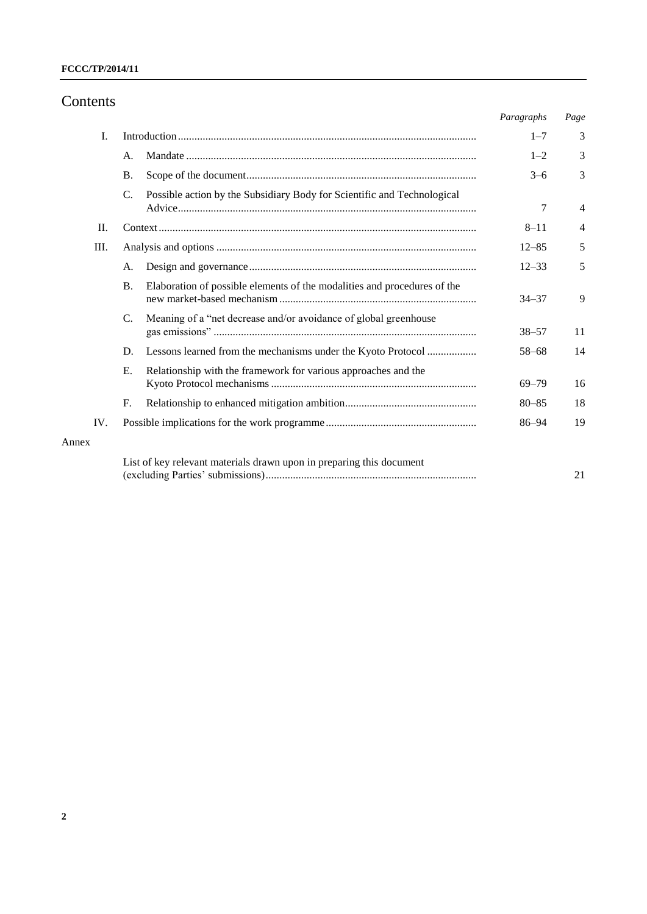# Contents

|       |                                                                                            | Paragraphs | Page |
|-------|--------------------------------------------------------------------------------------------|------------|------|
| Ι.    |                                                                                            | $1 - 7$    | 3    |
|       | А.                                                                                         | $1 - 2$    | 3    |
|       | <b>B.</b>                                                                                  | $3 - 6$    | 3    |
|       | $\mathcal{C}$ .<br>Possible action by the Subsidiary Body for Scientific and Technological | 7          | 4    |
| П.    |                                                                                            | $8 - 11$   | 4    |
| Ш.    |                                                                                            | $12 - 85$  | 5    |
|       | A.                                                                                         | $12 - 33$  | 5    |
|       | Elaboration of possible elements of the modalities and procedures of the<br><b>B.</b>      | $34 - 37$  | 9    |
|       | Meaning of a "net decrease and/or avoidance of global greenhouse<br>C.                     | $38 - 57$  | 11   |
|       | Lessons learned from the mechanisms under the Kyoto Protocol<br>D.                         | $58 - 68$  | 14   |
|       | Ε.<br>Relationship with the framework for various approaches and the                       | $69 - 79$  | 16   |
|       | F.                                                                                         | $80 - 85$  | 18   |
| IV.   |                                                                                            | $86 - 94$  | 19   |
| Annex |                                                                                            |            |      |
|       | List of key relevant materials drawn upon in preparing this document                       |            | 21   |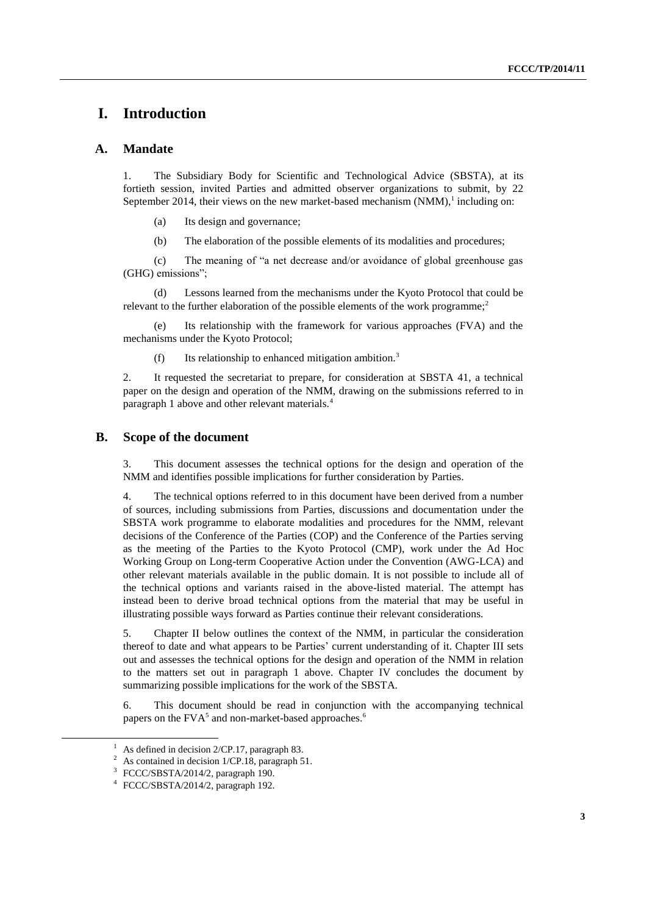# **I. Introduction**

## **A. Mandate**

1. The Subsidiary Body for Scientific and Technological Advice (SBSTA), at its fortieth session, invited Parties and admitted observer organizations to submit, by 22 September 2014, their views on the new market-based mechanism  $(NMM)$ , including on:

(a) Its design and governance;

(b) The elaboration of the possible elements of its modalities and procedures;

(c) The meaning of "a net decrease and/or avoidance of global greenhouse gas (GHG) emissions";

(d) Lessons learned from the mechanisms under the Kyoto Protocol that could be relevant to the further elaboration of the possible elements of the work programme:<sup>2</sup>

(e) Its relationship with the framework for various approaches (FVA) and the mechanisms under the Kyoto Protocol;

(f) Its relationship to enhanced mitigation ambition.<sup>3</sup>

2. It requested the secretariat to prepare, for consideration at SBSTA 41, a technical paper on the design and operation of the NMM, drawing on the submissions referred to in paragraph 1 above and other relevant materials.<sup>4</sup>

## **B. Scope of the document**

3. This document assesses the technical options for the design and operation of the NMM and identifies possible implications for further consideration by Parties.

4. The technical options referred to in this document have been derived from a number of sources, including submissions from Parties, discussions and documentation under the SBSTA work programme to elaborate modalities and procedures for the NMM, relevant decisions of the Conference of the Parties (COP) and the Conference of the Parties serving as the meeting of the Parties to the Kyoto Protocol (CMP), work under the Ad Hoc Working Group on Long-term Cooperative Action under the Convention (AWG-LCA) and other relevant materials available in the public domain. It is not possible to include all of the technical options and variants raised in the above-listed material. The attempt has instead been to derive broad technical options from the material that may be useful in illustrating possible ways forward as Parties continue their relevant considerations.

5. Chapter II below outlines the context of the NMM, in particular the consideration thereof to date and what appears to be Parties' current understanding of it. Chapter III sets out and assesses the technical options for the design and operation of the NMM in relation to the matters set out in paragraph 1 above. Chapter IV concludes the document by summarizing possible implications for the work of the SBSTA.

6. This document should be read in conjunction with the accompanying technical papers on the  $FVA<sup>5</sup>$  and non-market-based approaches.<sup>6</sup>

-

As defined in decision 2/CP.17, paragraph 83.

As contained in decision 1/CP.18, paragraph 51.

<sup>&</sup>lt;sup>3</sup> FCCC/SBSTA/2014/2, paragraph 190.

<sup>4</sup> FCCC/SBSTA/2014/2, paragraph 192.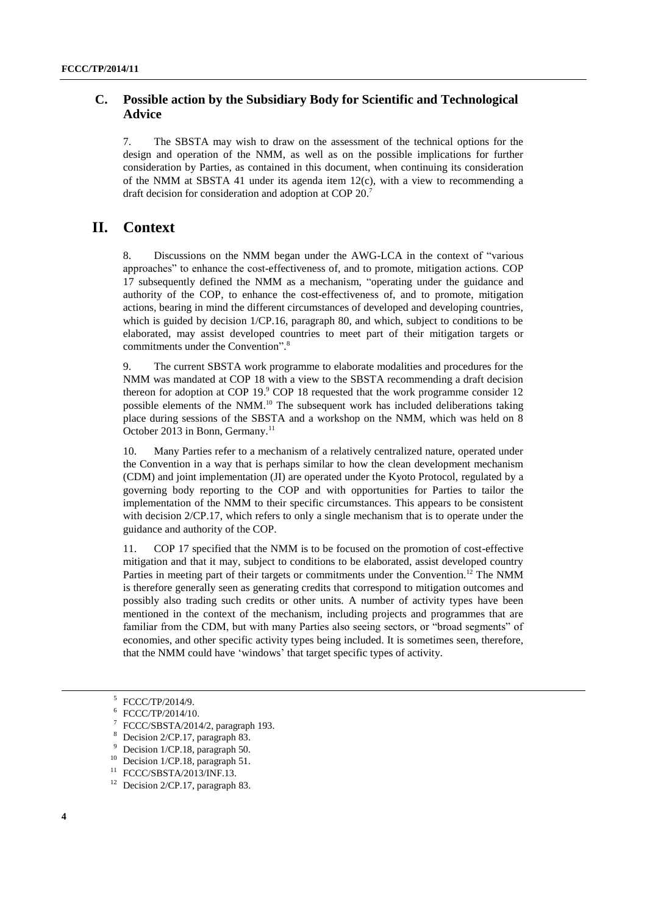# **C. Possible action by the Subsidiary Body for Scientific and Technological Advice**

7. The SBSTA may wish to draw on the assessment of the technical options for the design and operation of the NMM, as well as on the possible implications for further consideration by Parties, as contained in this document, when continuing its consideration of the NMM at SBSTA 41 under its agenda item  $12(c)$ , with a view to recommending a draft decision for consideration and adoption at COP 20.<sup>7</sup>

# **II. Context**

8. Discussions on the NMM began under the AWG-LCA in the context of "various approaches" to enhance the cost-effectiveness of, and to promote, mitigation actions. COP 17 subsequently defined the NMM as a mechanism, "operating under the guidance and authority of the COP, to enhance the cost-effectiveness of, and to promote, mitigation actions, bearing in mind the different circumstances of developed and developing countries, which is guided by decision 1/CP.16, paragraph 80, and which, subject to conditions to be elaborated, may assist developed countries to meet part of their mitigation targets or commitments under the Convention".<sup>8</sup>

9. The current SBSTA work programme to elaborate modalities and procedures for the NMM was mandated at COP 18 with a view to the SBSTA recommending a draft decision thereon for adoption at COP 19.<sup>9</sup> COP 18 requested that the work programme consider 12 possible elements of the NMM.<sup>10</sup> The subsequent work has included deliberations taking place during sessions of the SBSTA and a workshop on the NMM, which was held on 8 October 2013 in Bonn, Germany.<sup>11</sup>

10. Many Parties refer to a mechanism of a relatively centralized nature, operated under the Convention in a way that is perhaps similar to how the clean development mechanism (CDM) and joint implementation (JI) are operated under the Kyoto Protocol, regulated by a governing body reporting to the COP and with opportunities for Parties to tailor the implementation of the NMM to their specific circumstances. This appears to be consistent with decision 2/CP.17, which refers to only a single mechanism that is to operate under the guidance and authority of the COP.

11. COP 17 specified that the NMM is to be focused on the promotion of cost-effective mitigation and that it may, subject to conditions to be elaborated, assist developed country Parties in meeting part of their targets or commitments under the Convention.<sup>12</sup> The NMM is therefore generally seen as generating credits that correspond to mitigation outcomes and possibly also trading such credits or other units. A number of activity types have been mentioned in the context of the mechanism, including projects and programmes that are familiar from the CDM, but with many Parties also seeing sectors, or "broad segments" of economies, and other specific activity types being included. It is sometimes seen, therefore, that the NMM could have 'windows' that target specific types of activity.

 $\overline{a}$ 

<sup>5</sup> FCCC/TP/2014/9.

<sup>6</sup> FCCC/TP/2014/10.

<sup>7</sup> FCCC/SBSTA/2014/2, paragraph 193.

Decision 2/CP.17, paragraph 83.

Decision 1/CP.18, paragraph 50.

<sup>&</sup>lt;sup>10</sup> Decision 1/CP.18, paragraph 51.

<sup>11</sup> FCCC/SBSTA/2013/INF.13.

<sup>&</sup>lt;sup>12</sup> Decision 2/CP.17, paragraph 83.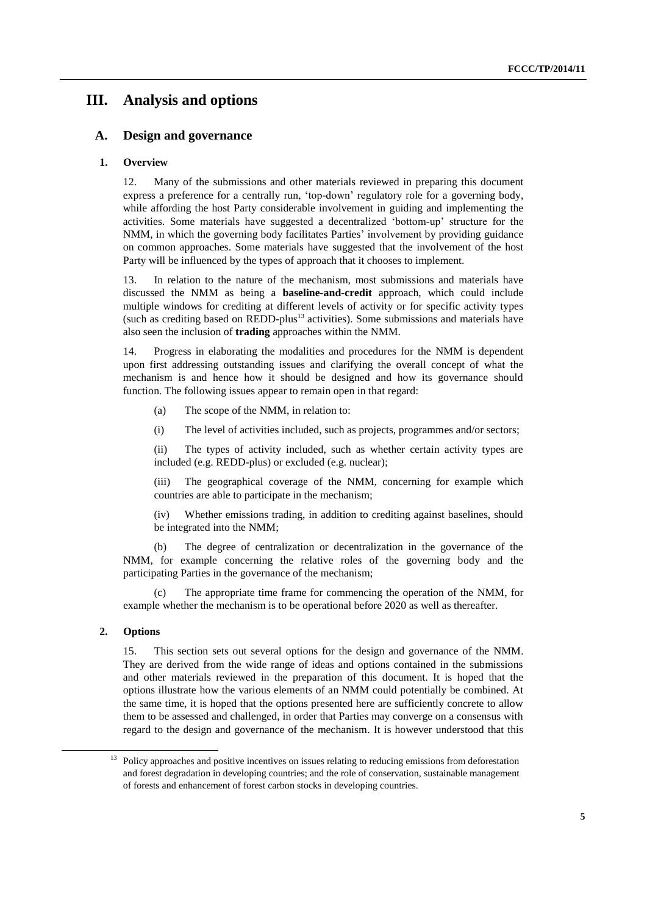# **III. Analysis and options**

## **A. Design and governance**

## **1. Overview**

12. Many of the submissions and other materials reviewed in preparing this document express a preference for a centrally run, 'top-down' regulatory role for a governing body, while affording the host Party considerable involvement in guiding and implementing the activities. Some materials have suggested a decentralized 'bottom-up' structure for the NMM, in which the governing body facilitates Parties' involvement by providing guidance on common approaches. Some materials have suggested that the involvement of the host Party will be influenced by the types of approach that it chooses to implement.

13. In relation to the nature of the mechanism, most submissions and materials have discussed the NMM as being a **baseline-and-credit** approach, which could include multiple windows for crediting at different levels of activity or for specific activity types (such as crediting based on  $\text{REDD-plus}^{13}$  activities). Some submissions and materials have also seen the inclusion of **trading** approaches within the NMM.

14. Progress in elaborating the modalities and procedures for the NMM is dependent upon first addressing outstanding issues and clarifying the overall concept of what the mechanism is and hence how it should be designed and how its governance should function. The following issues appear to remain open in that regard:

(a) The scope of the NMM, in relation to:

(i) The level of activities included, such as projects, programmes and/or sectors;

(ii) The types of activity included, such as whether certain activity types are included (e.g. REDD-plus) or excluded (e.g. nuclear);

(iii) The geographical coverage of the NMM, concerning for example which countries are able to participate in the mechanism;

(iv) Whether emissions trading, in addition to crediting against baselines, should be integrated into the NMM;

(b) The degree of centralization or decentralization in the governance of the NMM, for example concerning the relative roles of the governing body and the participating Parties in the governance of the mechanism;

(c) The appropriate time frame for commencing the operation of the NMM, for example whether the mechanism is to be operational before 2020 as well as thereafter.

#### **2. Options**

-

15. This section sets out several options for the design and governance of the NMM. They are derived from the wide range of ideas and options contained in the submissions and other materials reviewed in the preparation of this document. It is hoped that the options illustrate how the various elements of an NMM could potentially be combined. At the same time, it is hoped that the options presented here are sufficiently concrete to allow them to be assessed and challenged, in order that Parties may converge on a consensus with regard to the design and governance of the mechanism. It is however understood that this

<sup>13</sup> Policy approaches and positive incentives on issues relating to reducing emissions from deforestation and forest degradation in developing countries; and the role of conservation, sustainable management of forests and enhancement of forest carbon stocks in developing countries.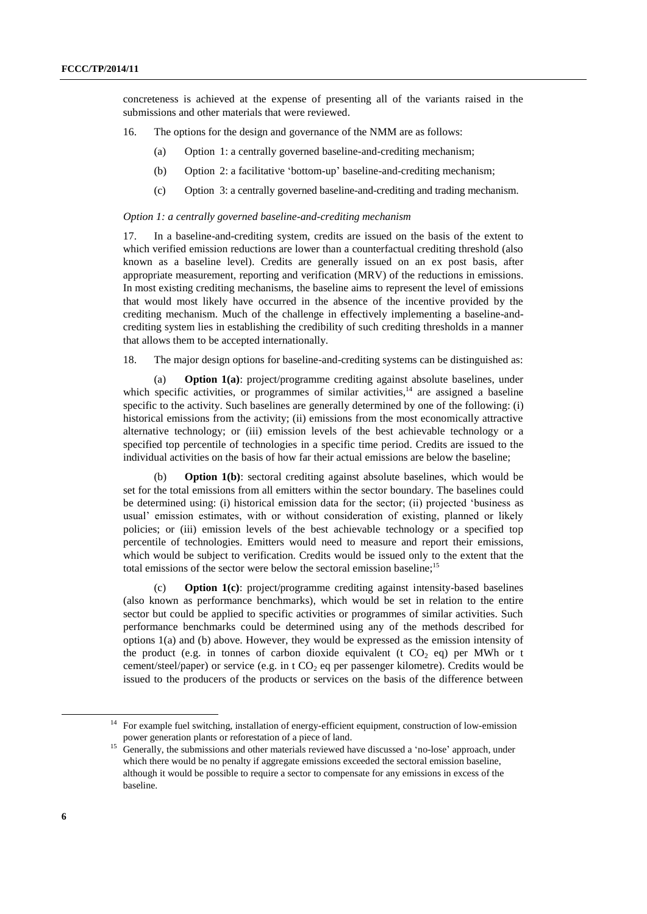concreteness is achieved at the expense of presenting all of the variants raised in the submissions and other materials that were reviewed.

- 16. The options for the design and governance of the NMM are as follows:
	- (a) Option 1: a centrally governed baseline-and-crediting mechanism;
	- (b) Option 2: a facilitative 'bottom-up' baseline-and-crediting mechanism;
	- (c) Option 3: a centrally governed baseline-and-crediting and trading mechanism.

#### *Option 1: a centrally governed baseline-and-crediting mechanism*

17. In a baseline-and-crediting system, credits are issued on the basis of the extent to which verified emission reductions are lower than a counterfactual crediting threshold (also known as a baseline level). Credits are generally issued on an ex post basis, after appropriate measurement, reporting and verification (MRV) of the reductions in emissions. In most existing crediting mechanisms, the baseline aims to represent the level of emissions that would most likely have occurred in the absence of the incentive provided by the crediting mechanism. Much of the challenge in effectively implementing a baseline-andcrediting system lies in establishing the credibility of such crediting thresholds in a manner that allows them to be accepted internationally.

18. The major design options for baseline-and-crediting systems can be distinguished as:

(a) **Option 1(a)**: project/programme crediting against absolute baselines, under which specific activities, or programmes of similar activities, $14$  are assigned a baseline specific to the activity. Such baselines are generally determined by one of the following: (i) historical emissions from the activity; (ii) emissions from the most economically attractive alternative technology; or (iii) emission levels of the best achievable technology or a specified top percentile of technologies in a specific time period. Credits are issued to the individual activities on the basis of how far their actual emissions are below the baseline;

(b) **Option 1(b)**: sectoral crediting against absolute baselines, which would be set for the total emissions from all emitters within the sector boundary. The baselines could be determined using: (i) historical emission data for the sector; (ii) projected 'business as usual' emission estimates, with or without consideration of existing, planned or likely policies; or (iii) emission levels of the best achievable technology or a specified top percentile of technologies. Emitters would need to measure and report their emissions, which would be subject to verification. Credits would be issued only to the extent that the total emissions of the sector were below the sectoral emission baseline;<sup>15</sup>

(c) **Option 1(c)**: project/programme crediting against intensity-based baselines (also known as performance benchmarks), which would be set in relation to the entire sector but could be applied to specific activities or programmes of similar activities. Such performance benchmarks could be determined using any of the methods described for options 1(a) and (b) above. However, they would be expressed as the emission intensity of the product (e.g. in tonnes of carbon dioxide equivalent (t  $CO<sub>2</sub>$  eq) per MWh or t cement/steel/paper) or service (e.g. in t  $CO<sub>2</sub>$  eq per passenger kilometre). Credits would be issued to the producers of the products or services on the basis of the difference between

-

<sup>14</sup> For example fuel switching, installation of energy-efficient equipment, construction of low-emission power generation plants or reforestation of a piece of land.

<sup>&</sup>lt;sup>15</sup> Generally, the submissions and other materials reviewed have discussed a 'no-lose' approach, under which there would be no penalty if aggregate emissions exceeded the sectoral emission baseline, although it would be possible to require a sector to compensate for any emissions in excess of the baseline.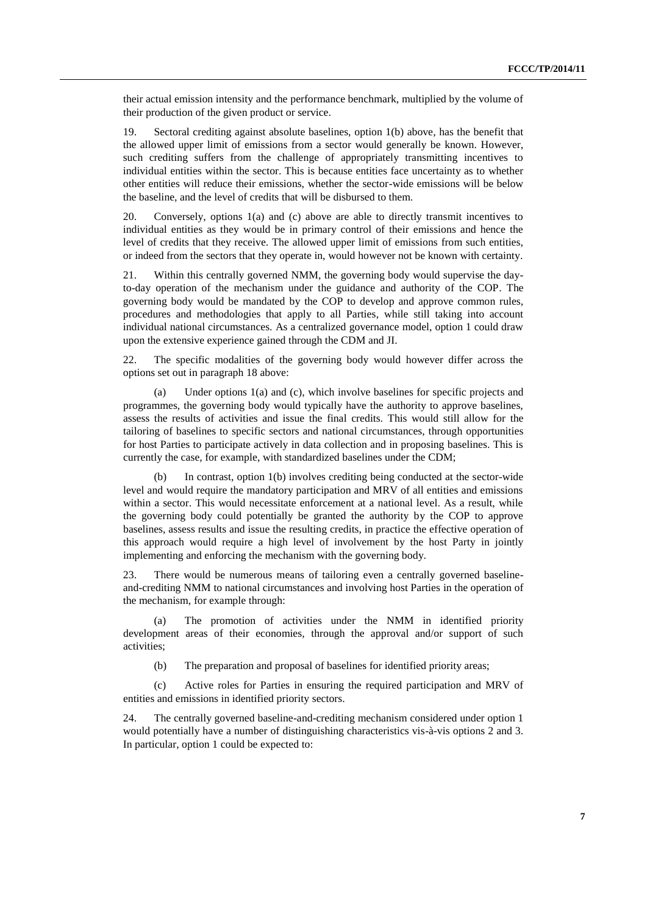their actual emission intensity and the performance benchmark, multiplied by the volume of their production of the given product or service.

19. Sectoral crediting against absolute baselines, option 1(b) above, has the benefit that the allowed upper limit of emissions from a sector would generally be known. However, such crediting suffers from the challenge of appropriately transmitting incentives to individual entities within the sector. This is because entities face uncertainty as to whether other entities will reduce their emissions, whether the sector-wide emissions will be below the baseline, and the level of credits that will be disbursed to them.

20. Conversely, options 1(a) and (c) above are able to directly transmit incentives to individual entities as they would be in primary control of their emissions and hence the level of credits that they receive. The allowed upper limit of emissions from such entities, or indeed from the sectors that they operate in, would however not be known with certainty.

21. Within this centrally governed NMM, the governing body would supervise the dayto-day operation of the mechanism under the guidance and authority of the COP. The governing body would be mandated by the COP to develop and approve common rules, procedures and methodologies that apply to all Parties, while still taking into account individual national circumstances. As a centralized governance model, option 1 could draw upon the extensive experience gained through the CDM and JI.

22. The specific modalities of the governing body would however differ across the options set out in paragraph 18 above:

(a) Under options 1(a) and (c), which involve baselines for specific projects and programmes, the governing body would typically have the authority to approve baselines, assess the results of activities and issue the final credits. This would still allow for the tailoring of baselines to specific sectors and national circumstances, through opportunities for host Parties to participate actively in data collection and in proposing baselines. This is currently the case, for example, with standardized baselines under the CDM;

(b) In contrast, option 1(b) involves crediting being conducted at the sector-wide level and would require the mandatory participation and MRV of all entities and emissions within a sector. This would necessitate enforcement at a national level. As a result, while the governing body could potentially be granted the authority by the COP to approve baselines, assess results and issue the resulting credits, in practice the effective operation of this approach would require a high level of involvement by the host Party in jointly implementing and enforcing the mechanism with the governing body.

23. There would be numerous means of tailoring even a centrally governed baselineand-crediting NMM to national circumstances and involving host Parties in the operation of the mechanism, for example through:

(a) The promotion of activities under the NMM in identified priority development areas of their economies, through the approval and/or support of such activities;

(b) The preparation and proposal of baselines for identified priority areas;

(c) Active roles for Parties in ensuring the required participation and MRV of entities and emissions in identified priority sectors.

24. The centrally governed baseline-and-crediting mechanism considered under option 1 would potentially have a number of distinguishing characteristics vis-à-vis options 2 and 3. In particular, option 1 could be expected to: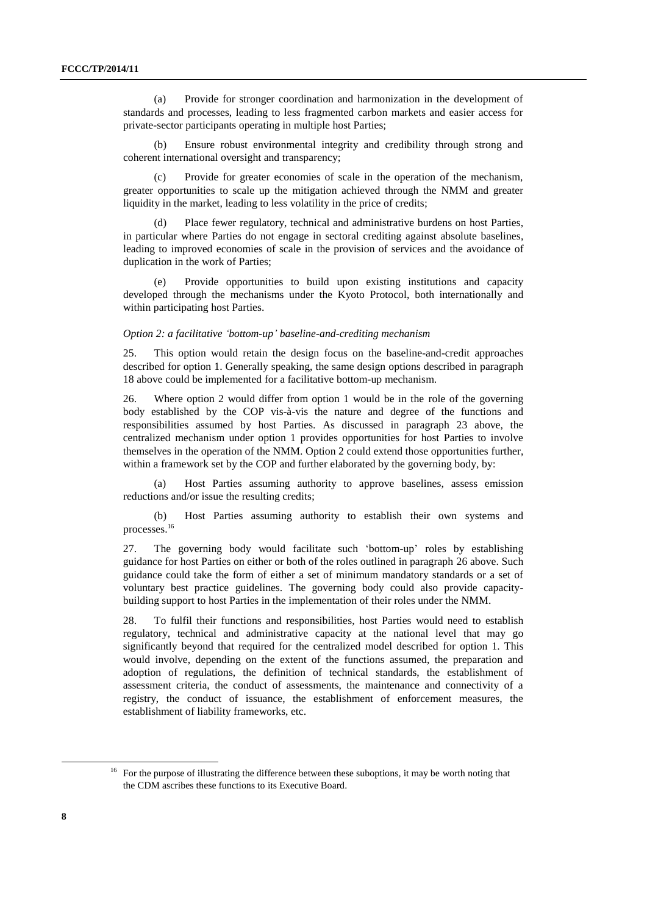(a) Provide for stronger coordination and harmonization in the development of standards and processes, leading to less fragmented carbon markets and easier access for private-sector participants operating in multiple host Parties;

(b) Ensure robust environmental integrity and credibility through strong and coherent international oversight and transparency;

(c) Provide for greater economies of scale in the operation of the mechanism, greater opportunities to scale up the mitigation achieved through the NMM and greater liquidity in the market, leading to less volatility in the price of credits;

(d) Place fewer regulatory, technical and administrative burdens on host Parties, in particular where Parties do not engage in sectoral crediting against absolute baselines, leading to improved economies of scale in the provision of services and the avoidance of duplication in the work of Parties;

(e) Provide opportunities to build upon existing institutions and capacity developed through the mechanisms under the Kyoto Protocol, both internationally and within participating host Parties.

#### *Option 2: a facilitative 'bottom-up' baseline-and-crediting mechanism*

25. This option would retain the design focus on the baseline-and-credit approaches described for option 1. Generally speaking, the same design options described in paragraph 18 above could be implemented for a facilitative bottom-up mechanism.

26. Where option 2 would differ from option 1 would be in the role of the governing body established by the COP vis-à-vis the nature and degree of the functions and responsibilities assumed by host Parties. As discussed in paragraph 23 above, the centralized mechanism under option 1 provides opportunities for host Parties to involve themselves in the operation of the NMM. Option 2 could extend those opportunities further, within a framework set by the COP and further elaborated by the governing body, by:

Host Parties assuming authority to approve baselines, assess emission reductions and/or issue the resulting credits;

(b) Host Parties assuming authority to establish their own systems and processes.<sup>16</sup>

27. The governing body would facilitate such 'bottom-up' roles by establishing guidance for host Parties on either or both of the roles outlined in paragraph 26 above. Such guidance could take the form of either a set of minimum mandatory standards or a set of voluntary best practice guidelines. The governing body could also provide capacitybuilding support to host Parties in the implementation of their roles under the NMM.

28. To fulfil their functions and responsibilities, host Parties would need to establish regulatory, technical and administrative capacity at the national level that may go significantly beyond that required for the centralized model described for option 1. This would involve, depending on the extent of the functions assumed, the preparation and adoption of regulations, the definition of technical standards, the establishment of assessment criteria, the conduct of assessments, the maintenance and connectivity of a registry, the conduct of issuance, the establishment of enforcement measures, the establishment of liability frameworks, etc.

 $\overline{a}$ 

<sup>&</sup>lt;sup>16</sup> For the purpose of illustrating the difference between these suboptions, it may be worth noting that the CDM ascribes these functions to its Executive Board.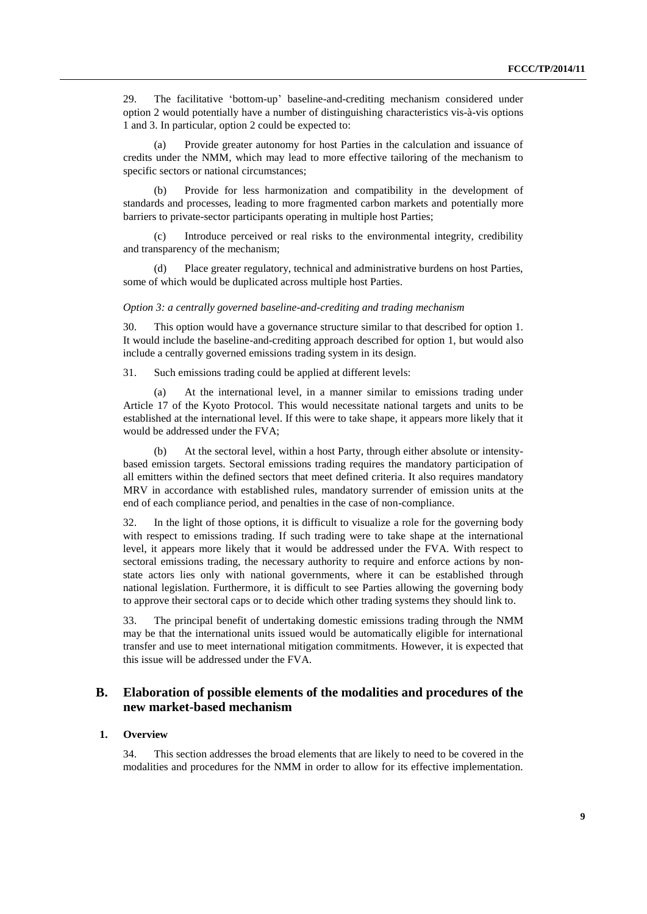29. The facilitative 'bottom-up' baseline-and-crediting mechanism considered under option 2 would potentially have a number of distinguishing characteristics vis-à-vis options 1 and 3. In particular, option 2 could be expected to:

Provide greater autonomy for host Parties in the calculation and issuance of credits under the NMM, which may lead to more effective tailoring of the mechanism to specific sectors or national circumstances;

(b) Provide for less harmonization and compatibility in the development of standards and processes, leading to more fragmented carbon markets and potentially more barriers to private-sector participants operating in multiple host Parties;

Introduce perceived or real risks to the environmental integrity, credibility and transparency of the mechanism;

(d) Place greater regulatory, technical and administrative burdens on host Parties, some of which would be duplicated across multiple host Parties.

#### *Option 3: a centrally governed baseline-and-crediting and trading mechanism*

30. This option would have a governance structure similar to that described for option 1. It would include the baseline-and-crediting approach described for option 1, but would also include a centrally governed emissions trading system in its design.

31. Such emissions trading could be applied at different levels:

(a) At the international level, in a manner similar to emissions trading under Article 17 of the Kyoto Protocol. This would necessitate national targets and units to be established at the international level. If this were to take shape, it appears more likely that it would be addressed under the FVA;

(b) At the sectoral level, within a host Party, through either absolute or intensitybased emission targets. Sectoral emissions trading requires the mandatory participation of all emitters within the defined sectors that meet defined criteria. It also requires mandatory MRV in accordance with established rules, mandatory surrender of emission units at the end of each compliance period, and penalties in the case of non-compliance.

32. In the light of those options, it is difficult to visualize a role for the governing body with respect to emissions trading. If such trading were to take shape at the international level, it appears more likely that it would be addressed under the FVA. With respect to sectoral emissions trading, the necessary authority to require and enforce actions by nonstate actors lies only with national governments, where it can be established through national legislation. Furthermore, it is difficult to see Parties allowing the governing body to approve their sectoral caps or to decide which other trading systems they should link to.

33. The principal benefit of undertaking domestic emissions trading through the NMM may be that the international units issued would be automatically eligible for international transfer and use to meet international mitigation commitments. However, it is expected that this issue will be addressed under the FVA.

# **B. Elaboration of possible elements of the modalities and procedures of the new market-based mechanism**

## **1. Overview**

34. This section addresses the broad elements that are likely to need to be covered in the modalities and procedures for the NMM in order to allow for its effective implementation.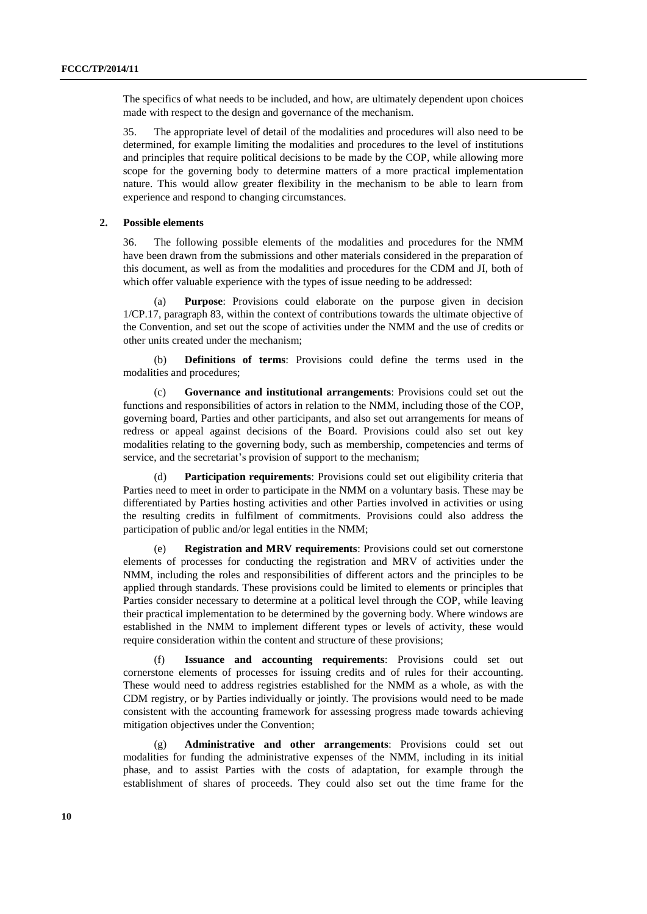The specifics of what needs to be included, and how, are ultimately dependent upon choices made with respect to the design and governance of the mechanism.

35. The appropriate level of detail of the modalities and procedures will also need to be determined, for example limiting the modalities and procedures to the level of institutions and principles that require political decisions to be made by the COP, while allowing more scope for the governing body to determine matters of a more practical implementation nature. This would allow greater flexibility in the mechanism to be able to learn from experience and respond to changing circumstances.

### **2. Possible elements**

36. The following possible elements of the modalities and procedures for the NMM have been drawn from the submissions and other materials considered in the preparation of this document, as well as from the modalities and procedures for the CDM and JI, both of which offer valuable experience with the types of issue needing to be addressed:

(a) **Purpose**: Provisions could elaborate on the purpose given in decision 1/CP.17, paragraph 83, within the context of contributions towards the ultimate objective of the Convention, and set out the scope of activities under the NMM and the use of credits or other units created under the mechanism;

(b) **Definitions of terms**: Provisions could define the terms used in the modalities and procedures;

(c) **Governance and institutional arrangements**: Provisions could set out the functions and responsibilities of actors in relation to the NMM, including those of the COP, governing board, Parties and other participants, and also set out arrangements for means of redress or appeal against decisions of the Board. Provisions could also set out key modalities relating to the governing body, such as membership, competencies and terms of service, and the secretariat's provision of support to the mechanism;

(d) **Participation requirements**: Provisions could set out eligibility criteria that Parties need to meet in order to participate in the NMM on a voluntary basis. These may be differentiated by Parties hosting activities and other Parties involved in activities or using the resulting credits in fulfilment of commitments. Provisions could also address the participation of public and/or legal entities in the NMM;

(e) **Registration and MRV requirements**: Provisions could set out cornerstone elements of processes for conducting the registration and MRV of activities under the NMM, including the roles and responsibilities of different actors and the principles to be applied through standards. These provisions could be limited to elements or principles that Parties consider necessary to determine at a political level through the COP, while leaving their practical implementation to be determined by the governing body. Where windows are established in the NMM to implement different types or levels of activity, these would require consideration within the content and structure of these provisions;

(f) **Issuance and accounting requirements**: Provisions could set out cornerstone elements of processes for issuing credits and of rules for their accounting. These would need to address registries established for the NMM as a whole, as with the CDM registry, or by Parties individually or jointly. The provisions would need to be made consistent with the accounting framework for assessing progress made towards achieving mitigation objectives under the Convention;

(g) **Administrative and other arrangements**: Provisions could set out modalities for funding the administrative expenses of the NMM, including in its initial phase, and to assist Parties with the costs of adaptation, for example through the establishment of shares of proceeds. They could also set out the time frame for the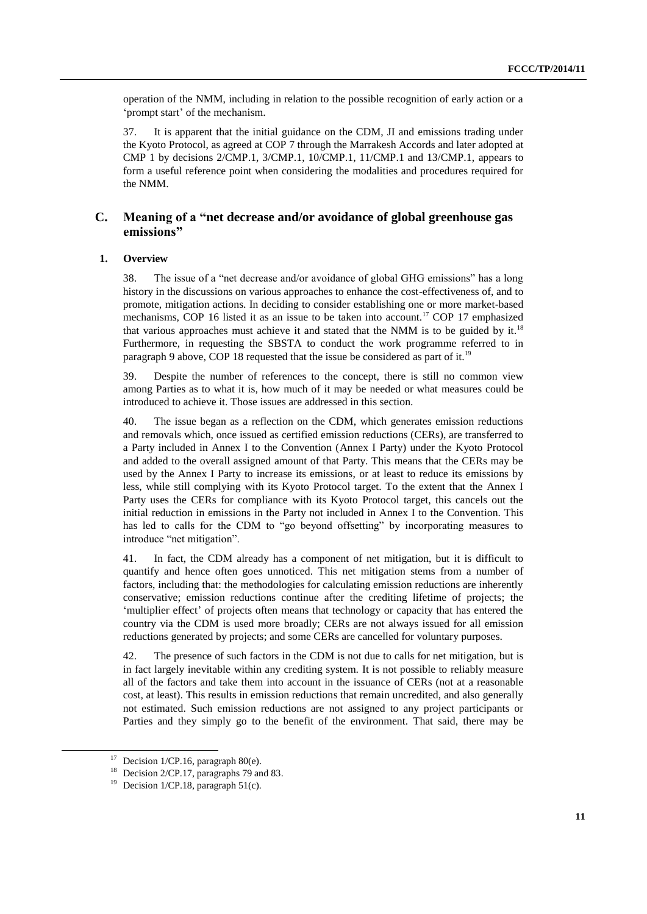operation of the NMM, including in relation to the possible recognition of early action or a 'prompt start' of the mechanism.

37. It is apparent that the initial guidance on the CDM, JI and emissions trading under the Kyoto Protocol, as agreed at COP 7 through the Marrakesh Accords and later adopted at CMP 1 by decisions 2/CMP.1, 3/CMP.1, 10/CMP.1, 11/CMP.1 and 13/CMP.1, appears to form a useful reference point when considering the modalities and procedures required for the NMM.

## **C. Meaning of a "net decrease and/or avoidance of global greenhouse gas emissions"**

#### **1. Overview**

38. The issue of a "net decrease and/or avoidance of global GHG emissions" has a long history in the discussions on various approaches to enhance the cost-effectiveness of, and to promote, mitigation actions. In deciding to consider establishing one or more market-based mechanisms, COP 16 listed it as an issue to be taken into account.<sup>17</sup> COP 17 emphasized that various approaches must achieve it and stated that the NMM is to be guided by it.<sup>18</sup> Furthermore, in requesting the SBSTA to conduct the work programme referred to in paragraph 9 above, COP 18 requested that the issue be considered as part of it.<sup>19</sup>

39. Despite the number of references to the concept, there is still no common view among Parties as to what it is, how much of it may be needed or what measures could be introduced to achieve it. Those issues are addressed in this section.

40. The issue began as a reflection on the CDM, which generates emission reductions and removals which, once issued as certified emission reductions (CERs), are transferred to a Party included in Annex I to the Convention (Annex I Party) under the Kyoto Protocol and added to the overall assigned amount of that Party. This means that the CERs may be used by the Annex I Party to increase its emissions, or at least to reduce its emissions by less, while still complying with its Kyoto Protocol target. To the extent that the Annex I Party uses the CERs for compliance with its Kyoto Protocol target, this cancels out the initial reduction in emissions in the Party not included in Annex I to the Convention. This has led to calls for the CDM to "go beyond offsetting" by incorporating measures to introduce "net mitigation".

41. In fact, the CDM already has a component of net mitigation, but it is difficult to quantify and hence often goes unnoticed. This net mitigation stems from a number of factors, including that: the methodologies for calculating emission reductions are inherently conservative; emission reductions continue after the crediting lifetime of projects; the 'multiplier effect' of projects often means that technology or capacity that has entered the country via the CDM is used more broadly; CERs are not always issued for all emission reductions generated by projects; and some CERs are cancelled for voluntary purposes.

42. The presence of such factors in the CDM is not due to calls for net mitigation, but is in fact largely inevitable within any crediting system. It is not possible to reliably measure all of the factors and take them into account in the issuance of CERs (not at a reasonable cost, at least). This results in emission reductions that remain uncredited, and also generally not estimated. Such emission reductions are not assigned to any project participants or Parties and they simply go to the benefit of the environment. That said, there may be

-

 $17$  Decision 1/CP.16, paragraph 80(e).

<sup>&</sup>lt;sup>18</sup> Decision 2/CP.17, paragraphs 79 and 83.

<sup>&</sup>lt;sup>19</sup> Decision 1/CP.18, paragraph 51(c).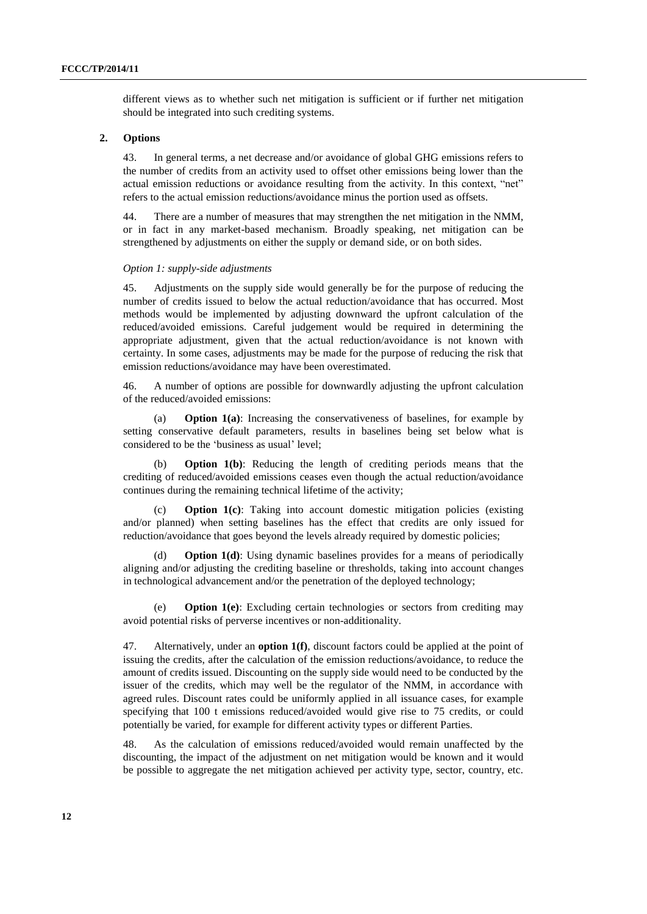different views as to whether such net mitigation is sufficient or if further net mitigation should be integrated into such crediting systems.

## **2. Options**

43. In general terms, a net decrease and/or avoidance of global GHG emissions refers to the number of credits from an activity used to offset other emissions being lower than the actual emission reductions or avoidance resulting from the activity. In this context, "net" refers to the actual emission reductions/avoidance minus the portion used as offsets.

44. There are a number of measures that may strengthen the net mitigation in the NMM, or in fact in any market-based mechanism. Broadly speaking, net mitigation can be strengthened by adjustments on either the supply or demand side, or on both sides.

### *Option 1: supply-side adjustments*

45. Adjustments on the supply side would generally be for the purpose of reducing the number of credits issued to below the actual reduction/avoidance that has occurred. Most methods would be implemented by adjusting downward the upfront calculation of the reduced/avoided emissions. Careful judgement would be required in determining the appropriate adjustment, given that the actual reduction/avoidance is not known with certainty. In some cases, adjustments may be made for the purpose of reducing the risk that emission reductions/avoidance may have been overestimated.

46. A number of options are possible for downwardly adjusting the upfront calculation of the reduced/avoided emissions:

(a) **Option 1(a)**: Increasing the conservativeness of baselines, for example by setting conservative default parameters, results in baselines being set below what is considered to be the 'business as usual' level;

(b) **Option 1(b)**: Reducing the length of crediting periods means that the crediting of reduced/avoided emissions ceases even though the actual reduction/avoidance continues during the remaining technical lifetime of the activity;

**Option 1(c)**: Taking into account domestic mitigation policies (existing and/or planned) when setting baselines has the effect that credits are only issued for reduction/avoidance that goes beyond the levels already required by domestic policies;

(d) **Option 1(d)**: Using dynamic baselines provides for a means of periodically aligning and/or adjusting the crediting baseline or thresholds, taking into account changes in technological advancement and/or the penetration of the deployed technology;

(e) **Option 1(e)**: Excluding certain technologies or sectors from crediting may avoid potential risks of perverse incentives or non-additionality.

47. Alternatively, under an **option 1(f)**, discount factors could be applied at the point of issuing the credits, after the calculation of the emission reductions/avoidance, to reduce the amount of credits issued. Discounting on the supply side would need to be conducted by the issuer of the credits, which may well be the regulator of the NMM, in accordance with agreed rules. Discount rates could be uniformly applied in all issuance cases, for example specifying that 100 t emissions reduced/avoided would give rise to 75 credits, or could potentially be varied, for example for different activity types or different Parties.

48. As the calculation of emissions reduced/avoided would remain unaffected by the discounting, the impact of the adjustment on net mitigation would be known and it would be possible to aggregate the net mitigation achieved per activity type, sector, country, etc.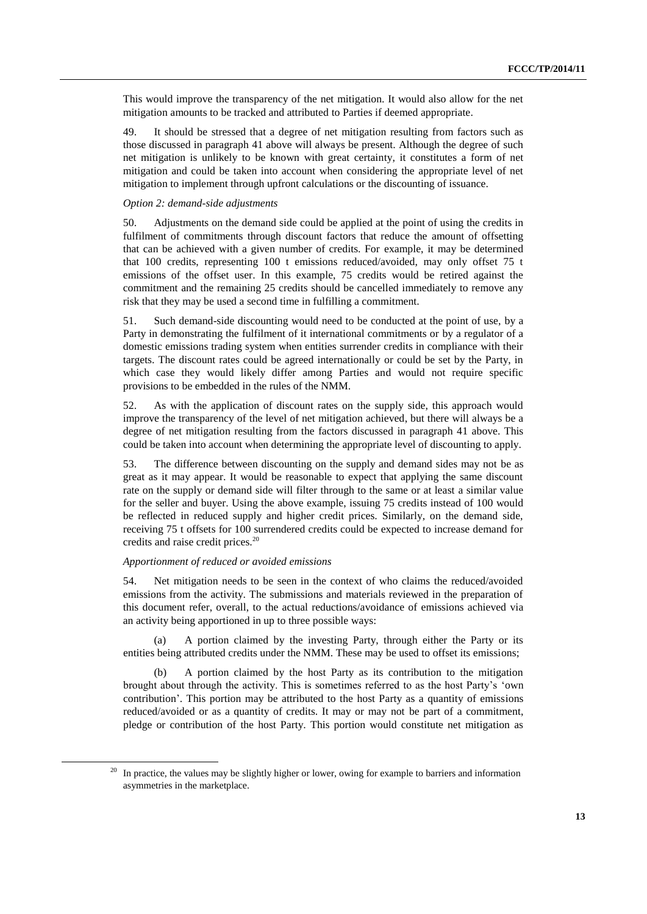This would improve the transparency of the net mitigation. It would also allow for the net mitigation amounts to be tracked and attributed to Parties if deemed appropriate.

49. It should be stressed that a degree of net mitigation resulting from factors such as those discussed in paragraph 41 above will always be present. Although the degree of such net mitigation is unlikely to be known with great certainty, it constitutes a form of net mitigation and could be taken into account when considering the appropriate level of net mitigation to implement through upfront calculations or the discounting of issuance.

#### *Option 2: demand-side adjustments*

50. Adjustments on the demand side could be applied at the point of using the credits in fulfilment of commitments through discount factors that reduce the amount of offsetting that can be achieved with a given number of credits. For example, it may be determined that 100 credits, representing 100 t emissions reduced/avoided, may only offset 75 t emissions of the offset user. In this example, 75 credits would be retired against the commitment and the remaining 25 credits should be cancelled immediately to remove any risk that they may be used a second time in fulfilling a commitment.

51. Such demand-side discounting would need to be conducted at the point of use, by a Party in demonstrating the fulfilment of it international commitments or by a regulator of a domestic emissions trading system when entities surrender credits in compliance with their targets. The discount rates could be agreed internationally or could be set by the Party, in which case they would likely differ among Parties and would not require specific provisions to be embedded in the rules of the NMM.

52. As with the application of discount rates on the supply side, this approach would improve the transparency of the level of net mitigation achieved, but there will always be a degree of net mitigation resulting from the factors discussed in paragraph 41 above. This could be taken into account when determining the appropriate level of discounting to apply.

53. The difference between discounting on the supply and demand sides may not be as great as it may appear. It would be reasonable to expect that applying the same discount rate on the supply or demand side will filter through to the same or at least a similar value for the seller and buyer. Using the above example, issuing 75 credits instead of 100 would be reflected in reduced supply and higher credit prices. Similarly, on the demand side, receiving 75 t offsets for 100 surrendered credits could be expected to increase demand for credits and raise credit prices.<sup>20</sup>

#### *Apportionment of reduced or avoided emissions*

 $\overline{a}$ 

54. Net mitigation needs to be seen in the context of who claims the reduced/avoided emissions from the activity. The submissions and materials reviewed in the preparation of this document refer, overall, to the actual reductions/avoidance of emissions achieved via an activity being apportioned in up to three possible ways:

(a) A portion claimed by the investing Party, through either the Party or its entities being attributed credits under the NMM. These may be used to offset its emissions;

(b) A portion claimed by the host Party as its contribution to the mitigation brought about through the activity. This is sometimes referred to as the host Party's 'own contribution'. This portion may be attributed to the host Party as a quantity of emissions reduced/avoided or as a quantity of credits. It may or may not be part of a commitment, pledge or contribution of the host Party. This portion would constitute net mitigation as

<sup>&</sup>lt;sup>20</sup> In practice, the values may be slightly higher or lower, owing for example to barriers and information asymmetries in the marketplace.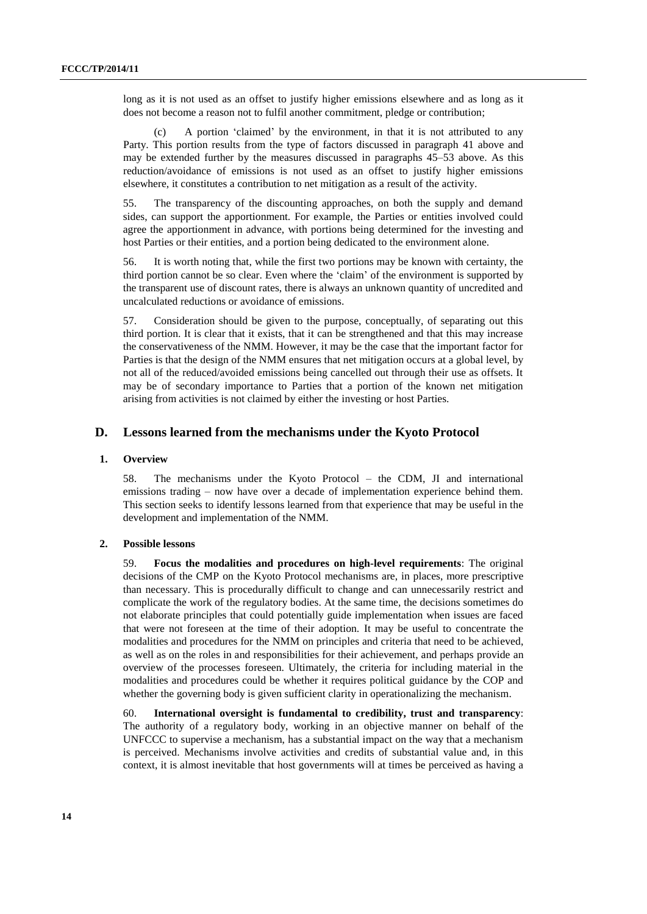long as it is not used as an offset to justify higher emissions elsewhere and as long as it does not become a reason not to fulfil another commitment, pledge or contribution;

(c) A portion 'claimed' by the environment, in that it is not attributed to any Party. This portion results from the type of factors discussed in paragraph 41 above and may be extended further by the measures discussed in paragraphs 45–53 above. As this reduction/avoidance of emissions is not used as an offset to justify higher emissions elsewhere, it constitutes a contribution to net mitigation as a result of the activity.

55. The transparency of the discounting approaches, on both the supply and demand sides, can support the apportionment. For example, the Parties or entities involved could agree the apportionment in advance, with portions being determined for the investing and host Parties or their entities, and a portion being dedicated to the environment alone.

56. It is worth noting that, while the first two portions may be known with certainty, the third portion cannot be so clear. Even where the 'claim' of the environment is supported by the transparent use of discount rates, there is always an unknown quantity of uncredited and uncalculated reductions or avoidance of emissions.

57. Consideration should be given to the purpose, conceptually, of separating out this third portion. It is clear that it exists, that it can be strengthened and that this may increase the conservativeness of the NMM. However, it may be the case that the important factor for Parties is that the design of the NMM ensures that net mitigation occurs at a global level, by not all of the reduced/avoided emissions being cancelled out through their use as offsets. It may be of secondary importance to Parties that a portion of the known net mitigation arising from activities is not claimed by either the investing or host Parties.

## **D. Lessons learned from the mechanisms under the Kyoto Protocol**

### **1. Overview**

58. The mechanisms under the Kyoto Protocol – the CDM, JI and international emissions trading – now have over a decade of implementation experience behind them. This section seeks to identify lessons learned from that experience that may be useful in the development and implementation of the NMM.

### **2. Possible lessons**

59. **Focus the modalities and procedures on high-level requirements**: The original decisions of the CMP on the Kyoto Protocol mechanisms are, in places, more prescriptive than necessary. This is procedurally difficult to change and can unnecessarily restrict and complicate the work of the regulatory bodies. At the same time, the decisions sometimes do not elaborate principles that could potentially guide implementation when issues are faced that were not foreseen at the time of their adoption. It may be useful to concentrate the modalities and procedures for the NMM on principles and criteria that need to be achieved, as well as on the roles in and responsibilities for their achievement, and perhaps provide an overview of the processes foreseen. Ultimately, the criteria for including material in the modalities and procedures could be whether it requires political guidance by the COP and whether the governing body is given sufficient clarity in operationalizing the mechanism.

60. **International oversight is fundamental to credibility, trust and transparency**: The authority of a regulatory body, working in an objective manner on behalf of the UNFCCC to supervise a mechanism, has a substantial impact on the way that a mechanism is perceived. Mechanisms involve activities and credits of substantial value and, in this context, it is almost inevitable that host governments will at times be perceived as having a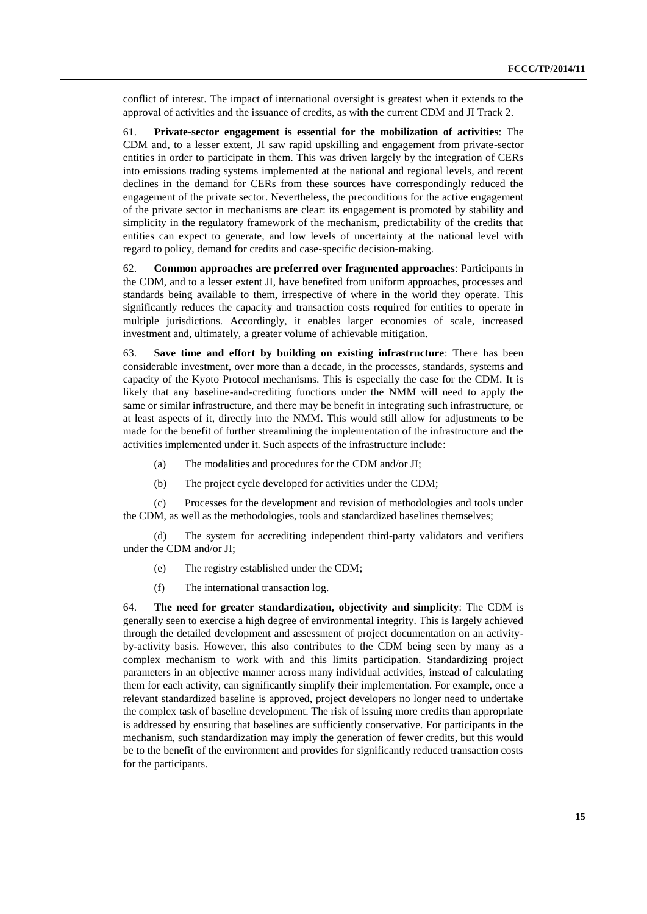conflict of interest. The impact of international oversight is greatest when it extends to the approval of activities and the issuance of credits, as with the current CDM and JI Track 2.

61. **Private-sector engagement is essential for the mobilization of activities**: The CDM and, to a lesser extent, JI saw rapid upskilling and engagement from private-sector entities in order to participate in them. This was driven largely by the integration of CERs into emissions trading systems implemented at the national and regional levels, and recent declines in the demand for CERs from these sources have correspondingly reduced the engagement of the private sector. Nevertheless, the preconditions for the active engagement of the private sector in mechanisms are clear: its engagement is promoted by stability and simplicity in the regulatory framework of the mechanism, predictability of the credits that entities can expect to generate, and low levels of uncertainty at the national level with regard to policy, demand for credits and case-specific decision-making.

62. **Common approaches are preferred over fragmented approaches**: Participants in the CDM, and to a lesser extent JI, have benefited from uniform approaches, processes and standards being available to them, irrespective of where in the world they operate. This significantly reduces the capacity and transaction costs required for entities to operate in multiple jurisdictions. Accordingly, it enables larger economies of scale, increased investment and, ultimately, a greater volume of achievable mitigation.

63. **Save time and effort by building on existing infrastructure**: There has been considerable investment, over more than a decade, in the processes, standards, systems and capacity of the Kyoto Protocol mechanisms. This is especially the case for the CDM. It is likely that any baseline-and-crediting functions under the NMM will need to apply the same or similar infrastructure, and there may be benefit in integrating such infrastructure, or at least aspects of it, directly into the NMM. This would still allow for adjustments to be made for the benefit of further streamlining the implementation of the infrastructure and the activities implemented under it. Such aspects of the infrastructure include:

- (a) The modalities and procedures for the CDM and/or JI;
- (b) The project cycle developed for activities under the CDM;

(c) Processes for the development and revision of methodologies and tools under the CDM, as well as the methodologies, tools and standardized baselines themselves;

(d) The system for accrediting independent third-party validators and verifiers under the CDM and/or JI;

- (e) The registry established under the CDM;
- (f) The international transaction log.

64. **The need for greater standardization, objectivity and simplicity**: The CDM is generally seen to exercise a high degree of environmental integrity. This is largely achieved through the detailed development and assessment of project documentation on an activityby-activity basis. However, this also contributes to the CDM being seen by many as a complex mechanism to work with and this limits participation. Standardizing project parameters in an objective manner across many individual activities, instead of calculating them for each activity, can significantly simplify their implementation. For example, once a relevant standardized baseline is approved, project developers no longer need to undertake the complex task of baseline development. The risk of issuing more credits than appropriate is addressed by ensuring that baselines are sufficiently conservative. For participants in the mechanism, such standardization may imply the generation of fewer credits, but this would be to the benefit of the environment and provides for significantly reduced transaction costs for the participants.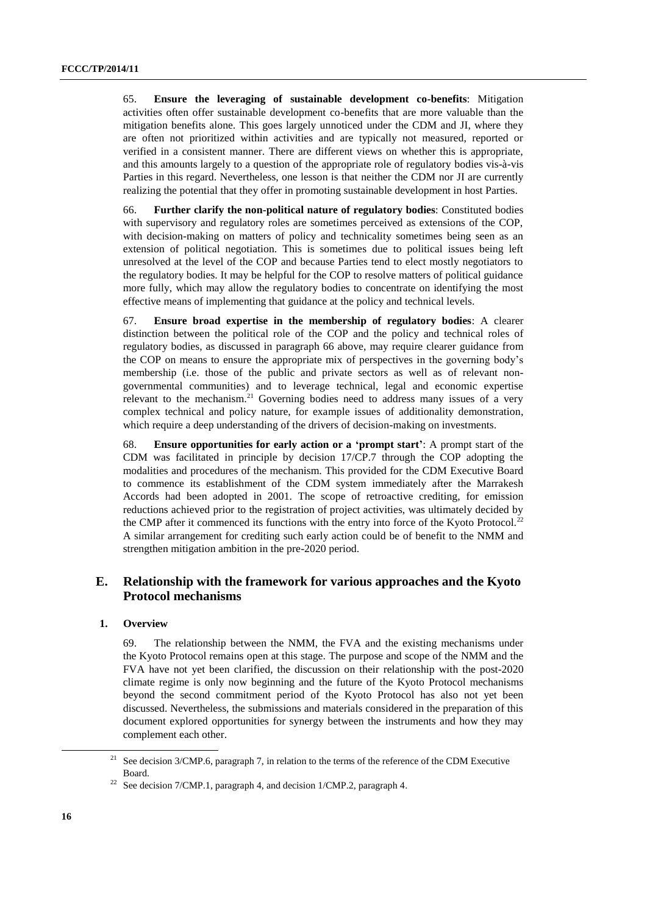65. **Ensure the leveraging of sustainable development co-benefits**: Mitigation activities often offer sustainable development co-benefits that are more valuable than the mitigation benefits alone. This goes largely unnoticed under the CDM and JI, where they are often not prioritized within activities and are typically not measured, reported or verified in a consistent manner. There are different views on whether this is appropriate, and this amounts largely to a question of the appropriate role of regulatory bodies vis-à-vis Parties in this regard. Nevertheless, one lesson is that neither the CDM nor JI are currently realizing the potential that they offer in promoting sustainable development in host Parties.

66. **Further clarify the non-political nature of regulatory bodies**: Constituted bodies with supervisory and regulatory roles are sometimes perceived as extensions of the COP, with decision-making on matters of policy and technicality sometimes being seen as an extension of political negotiation. This is sometimes due to political issues being left unresolved at the level of the COP and because Parties tend to elect mostly negotiators to the regulatory bodies. It may be helpful for the COP to resolve matters of political guidance more fully, which may allow the regulatory bodies to concentrate on identifying the most effective means of implementing that guidance at the policy and technical levels.

67. **Ensure broad expertise in the membership of regulatory bodies**: A clearer distinction between the political role of the COP and the policy and technical roles of regulatory bodies, as discussed in paragraph 66 above, may require clearer guidance from the COP on means to ensure the appropriate mix of perspectives in the governing body's membership (i.e. those of the public and private sectors as well as of relevant nongovernmental communities) and to leverage technical, legal and economic expertise relevant to the mechanism.<sup>21</sup> Governing bodies need to address many issues of a very complex technical and policy nature, for example issues of additionality demonstration, which require a deep understanding of the drivers of decision-making on investments.

68. **Ensure opportunities for early action or a 'prompt start'**: A prompt start of the CDM was facilitated in principle by decision 17/CP.7 through the COP adopting the modalities and procedures of the mechanism. This provided for the CDM Executive Board to commence its establishment of the CDM system immediately after the Marrakesh Accords had been adopted in 2001. The scope of retroactive crediting, for emission reductions achieved prior to the registration of project activities, was ultimately decided by the CMP after it commenced its functions with the entry into force of the Kyoto Protocol.<sup>22</sup> A similar arrangement for crediting such early action could be of benefit to the NMM and strengthen mitigation ambition in the pre-2020 period.

# **E. Relationship with the framework for various approaches and the Kyoto Protocol mechanisms**

#### **1. Overview**

69. The relationship between the NMM, the FVA and the existing mechanisms under the Kyoto Protocol remains open at this stage. The purpose and scope of the NMM and the FVA have not yet been clarified, the discussion on their relationship with the post-2020 climate regime is only now beginning and the future of the Kyoto Protocol mechanisms beyond the second commitment period of the Kyoto Protocol has also not yet been discussed. Nevertheless, the submissions and materials considered in the preparation of this document explored opportunities for synergy between the instruments and how they may complement each other.

-

<sup>&</sup>lt;sup>21</sup> See decision  $3/CMP.6$ , paragraph 7, in relation to the terms of the reference of the CDM Executive Board.

<sup>&</sup>lt;sup>22</sup> See decision 7/CMP.1, paragraph 4, and decision 1/CMP.2, paragraph 4.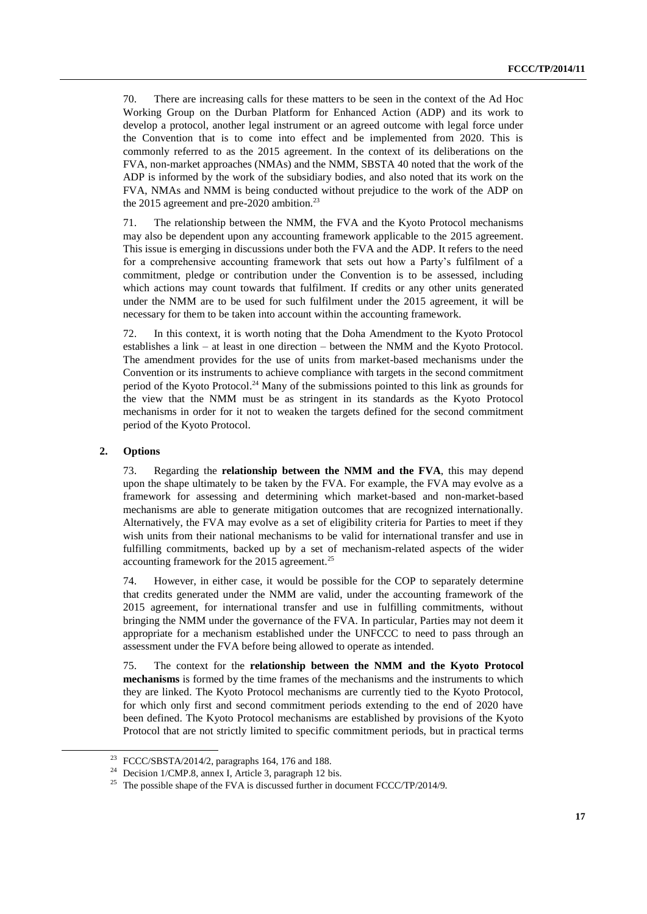70. There are increasing calls for these matters to be seen in the context of the Ad Hoc Working Group on the Durban Platform for Enhanced Action (ADP) and its work to develop a protocol, another legal instrument or an agreed outcome with legal force under the Convention that is to come into effect and be implemented from 2020. This is commonly referred to as the 2015 agreement. In the context of its deliberations on the FVA, non-market approaches (NMAs) and the NMM, SBSTA 40 noted that the work of the ADP is informed by the work of the subsidiary bodies, and also noted that its work on the FVA, NMAs and NMM is being conducted without prejudice to the work of the ADP on the 2015 agreement and pre-2020 ambition.<sup>23</sup>

71. The relationship between the NMM, the FVA and the Kyoto Protocol mechanisms may also be dependent upon any accounting framework applicable to the 2015 agreement. This issue is emerging in discussions under both the FVA and the ADP. It refers to the need for a comprehensive accounting framework that sets out how a Party's fulfilment of a commitment, pledge or contribution under the Convention is to be assessed, including which actions may count towards that fulfilment. If credits or any other units generated under the NMM are to be used for such fulfilment under the 2015 agreement, it will be necessary for them to be taken into account within the accounting framework.

72. In this context, it is worth noting that the Doha Amendment to the Kyoto Protocol establishes a link – at least in one direction – between the NMM and the Kyoto Protocol. The amendment provides for the use of units from market-based mechanisms under the Convention or its instruments to achieve compliance with targets in the second commitment period of the Kyoto Protocol.<sup>24</sup> Many of the submissions pointed to this link as grounds for the view that the NMM must be as stringent in its standards as the Kyoto Protocol mechanisms in order for it not to weaken the targets defined for the second commitment period of the Kyoto Protocol.

### **2. Options**

-

73. Regarding the **relationship between the NMM and the FVA**, this may depend upon the shape ultimately to be taken by the FVA. For example, the FVA may evolve as a framework for assessing and determining which market-based and non-market-based mechanisms are able to generate mitigation outcomes that are recognized internationally. Alternatively, the FVA may evolve as a set of eligibility criteria for Parties to meet if they wish units from their national mechanisms to be valid for international transfer and use in fulfilling commitments, backed up by a set of mechanism-related aspects of the wider accounting framework for the 2015 agreement.<sup>25</sup>

74. However, in either case, it would be possible for the COP to separately determine that credits generated under the NMM are valid, under the accounting framework of the 2015 agreement, for international transfer and use in fulfilling commitments, without bringing the NMM under the governance of the FVA. In particular, Parties may not deem it appropriate for a mechanism established under the UNFCCC to need to pass through an assessment under the FVA before being allowed to operate as intended.

75. The context for the **relationship between the NMM and the Kyoto Protocol mechanisms** is formed by the time frames of the mechanisms and the instruments to which they are linked. The Kyoto Protocol mechanisms are currently tied to the Kyoto Protocol, for which only first and second commitment periods extending to the end of 2020 have been defined. The Kyoto Protocol mechanisms are established by provisions of the Kyoto Protocol that are not strictly limited to specific commitment periods, but in practical terms

<sup>23</sup> FCCC/SBSTA/2014/2, paragraphs 164, 176 and 188.

<sup>24</sup> Decision 1/CMP.8, annex I, Article 3, paragraph 12 bis.

<sup>&</sup>lt;sup>25</sup> The possible shape of the FVA is discussed further in document FCCC/TP/2014/9.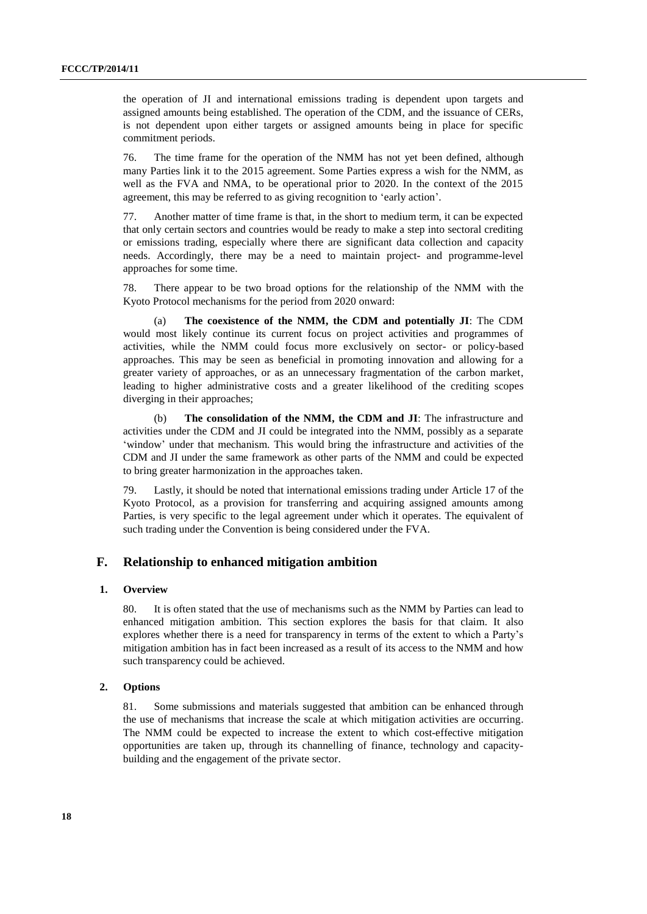the operation of JI and international emissions trading is dependent upon targets and assigned amounts being established. The operation of the CDM, and the issuance of CERs, is not dependent upon either targets or assigned amounts being in place for specific commitment periods.

76. The time frame for the operation of the NMM has not yet been defined, although many Parties link it to the 2015 agreement. Some Parties express a wish for the NMM, as well as the FVA and NMA, to be operational prior to 2020. In the context of the 2015 agreement, this may be referred to as giving recognition to 'early action'.

77. Another matter of time frame is that, in the short to medium term, it can be expected that only certain sectors and countries would be ready to make a step into sectoral crediting or emissions trading, especially where there are significant data collection and capacity needs. Accordingly, there may be a need to maintain project- and programme-level approaches for some time.

78. There appear to be two broad options for the relationship of the NMM with the Kyoto Protocol mechanisms for the period from 2020 onward:

(a) **The coexistence of the NMM, the CDM and potentially JI**: The CDM would most likely continue its current focus on project activities and programmes of activities, while the NMM could focus more exclusively on sector- or policy-based approaches. This may be seen as beneficial in promoting innovation and allowing for a greater variety of approaches, or as an unnecessary fragmentation of the carbon market, leading to higher administrative costs and a greater likelihood of the crediting scopes diverging in their approaches;

(b) **The consolidation of the NMM, the CDM and JI**: The infrastructure and activities under the CDM and JI could be integrated into the NMM, possibly as a separate 'window' under that mechanism. This would bring the infrastructure and activities of the CDM and JI under the same framework as other parts of the NMM and could be expected to bring greater harmonization in the approaches taken.

79. Lastly, it should be noted that international emissions trading under Article 17 of the Kyoto Protocol, as a provision for transferring and acquiring assigned amounts among Parties, is very specific to the legal agreement under which it operates. The equivalent of such trading under the Convention is being considered under the FVA.

## **F. Relationship to enhanced mitigation ambition**

## **1. Overview**

80. It is often stated that the use of mechanisms such as the NMM by Parties can lead to enhanced mitigation ambition. This section explores the basis for that claim. It also explores whether there is a need for transparency in terms of the extent to which a Party's mitigation ambition has in fact been increased as a result of its access to the NMM and how such transparency could be achieved.

## **2. Options**

81. Some submissions and materials suggested that ambition can be enhanced through the use of mechanisms that increase the scale at which mitigation activities are occurring. The NMM could be expected to increase the extent to which cost-effective mitigation opportunities are taken up, through its channelling of finance, technology and capacitybuilding and the engagement of the private sector.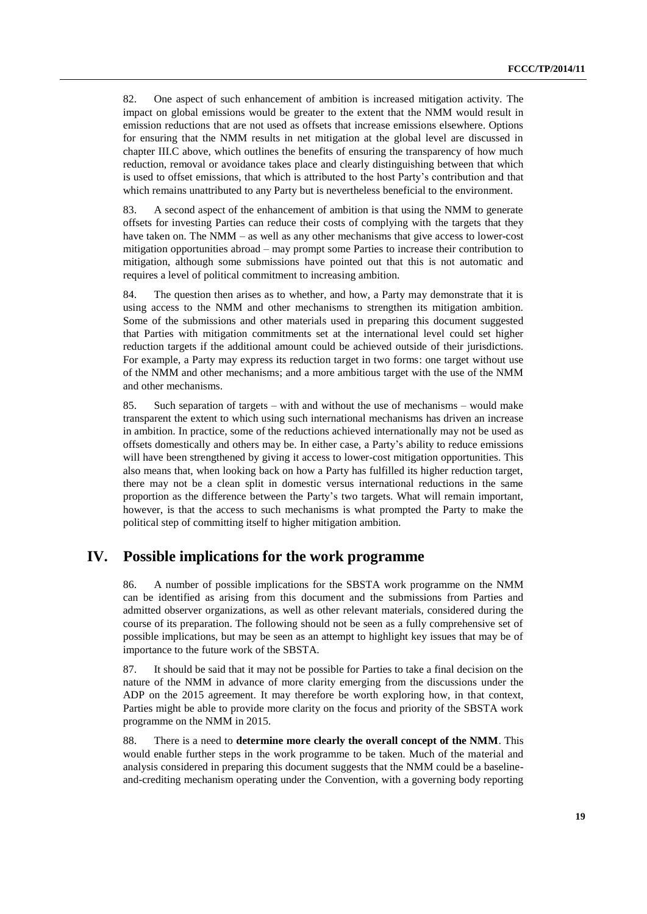82. One aspect of such enhancement of ambition is increased mitigation activity. The impact on global emissions would be greater to the extent that the NMM would result in emission reductions that are not used as offsets that increase emissions elsewhere. Options for ensuring that the NMM results in net mitigation at the global level are discussed in chapter III.C above, which outlines the benefits of ensuring the transparency of how much reduction, removal or avoidance takes place and clearly distinguishing between that which is used to offset emissions, that which is attributed to the host Party's contribution and that which remains unattributed to any Party but is nevertheless beneficial to the environment.

83. A second aspect of the enhancement of ambition is that using the NMM to generate offsets for investing Parties can reduce their costs of complying with the targets that they have taken on. The NMM – as well as any other mechanisms that give access to lower-cost mitigation opportunities abroad – may prompt some Parties to increase their contribution to mitigation, although some submissions have pointed out that this is not automatic and requires a level of political commitment to increasing ambition.

84. The question then arises as to whether, and how, a Party may demonstrate that it is using access to the NMM and other mechanisms to strengthen its mitigation ambition. Some of the submissions and other materials used in preparing this document suggested that Parties with mitigation commitments set at the international level could set higher reduction targets if the additional amount could be achieved outside of their jurisdictions. For example, a Party may express its reduction target in two forms: one target without use of the NMM and other mechanisms; and a more ambitious target with the use of the NMM and other mechanisms.

85. Such separation of targets – with and without the use of mechanisms – would make transparent the extent to which using such international mechanisms has driven an increase in ambition. In practice, some of the reductions achieved internationally may not be used as offsets domestically and others may be. In either case, a Party's ability to reduce emissions will have been strengthened by giving it access to lower-cost mitigation opportunities. This also means that, when looking back on how a Party has fulfilled its higher reduction target, there may not be a clean split in domestic versus international reductions in the same proportion as the difference between the Party's two targets. What will remain important, however, is that the access to such mechanisms is what prompted the Party to make the political step of committing itself to higher mitigation ambition.

# **IV. Possible implications for the work programme**

86. A number of possible implications for the SBSTA work programme on the NMM can be identified as arising from this document and the submissions from Parties and admitted observer organizations, as well as other relevant materials, considered during the course of its preparation. The following should not be seen as a fully comprehensive set of possible implications, but may be seen as an attempt to highlight key issues that may be of importance to the future work of the SBSTA.

87. It should be said that it may not be possible for Parties to take a final decision on the nature of the NMM in advance of more clarity emerging from the discussions under the ADP on the 2015 agreement. It may therefore be worth exploring how, in that context, Parties might be able to provide more clarity on the focus and priority of the SBSTA work programme on the NMM in 2015.

88. There is a need to **determine more clearly the overall concept of the NMM**. This would enable further steps in the work programme to be taken. Much of the material and analysis considered in preparing this document suggests that the NMM could be a baselineand-crediting mechanism operating under the Convention, with a governing body reporting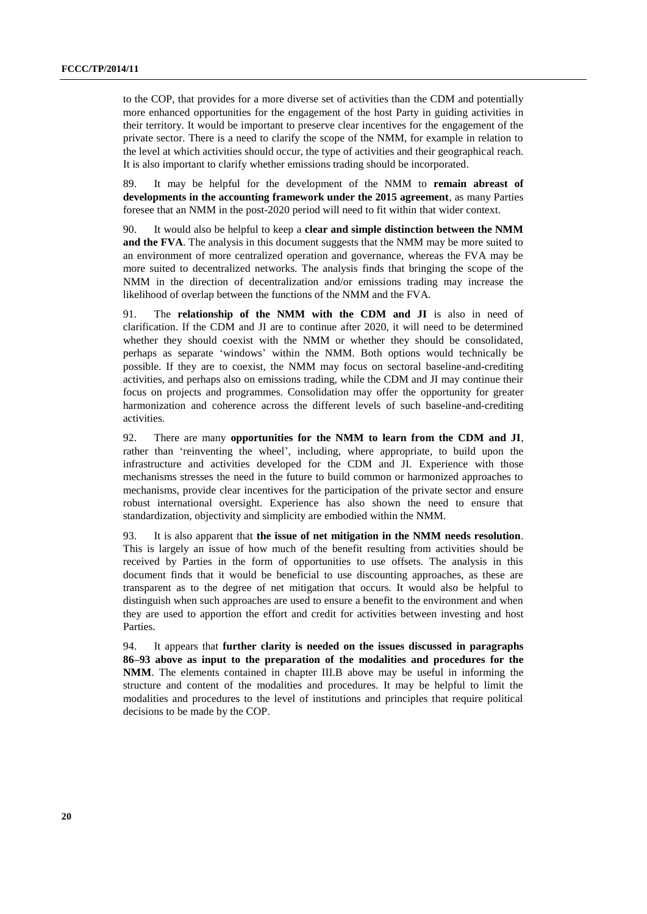to the COP, that provides for a more diverse set of activities than the CDM and potentially more enhanced opportunities for the engagement of the host Party in guiding activities in their territory. It would be important to preserve clear incentives for the engagement of the private sector. There is a need to clarify the scope of the NMM, for example in relation to the level at which activities should occur, the type of activities and their geographical reach. It is also important to clarify whether emissions trading should be incorporated.

89. It may be helpful for the development of the NMM to **remain abreast of developments in the accounting framework under the 2015 agreement**, as many Parties foresee that an NMM in the post-2020 period will need to fit within that wider context.

90. It would also be helpful to keep a **clear and simple distinction between the NMM and the FVA**. The analysis in this document suggests that the NMM may be more suited to an environment of more centralized operation and governance, whereas the FVA may be more suited to decentralized networks. The analysis finds that bringing the scope of the NMM in the direction of decentralization and/or emissions trading may increase the likelihood of overlap between the functions of the NMM and the FVA.

91. The **relationship of the NMM with the CDM and JI** is also in need of clarification. If the CDM and JI are to continue after 2020, it will need to be determined whether they should coexist with the NMM or whether they should be consolidated, perhaps as separate 'windows' within the NMM. Both options would technically be possible. If they are to coexist, the NMM may focus on sectoral baseline-and-crediting activities, and perhaps also on emissions trading, while the CDM and JI may continue their focus on projects and programmes. Consolidation may offer the opportunity for greater harmonization and coherence across the different levels of such baseline-and-crediting activities.

92. There are many **opportunities for the NMM to learn from the CDM and JI**, rather than 'reinventing the wheel', including, where appropriate, to build upon the infrastructure and activities developed for the CDM and JI. Experience with those mechanisms stresses the need in the future to build common or harmonized approaches to mechanisms, provide clear incentives for the participation of the private sector and ensure robust international oversight. Experience has also shown the need to ensure that standardization, objectivity and simplicity are embodied within the NMM.

93. It is also apparent that **the issue of net mitigation in the NMM needs resolution**. This is largely an issue of how much of the benefit resulting from activities should be received by Parties in the form of opportunities to use offsets. The analysis in this document finds that it would be beneficial to use discounting approaches, as these are transparent as to the degree of net mitigation that occurs. It would also be helpful to distinguish when such approaches are used to ensure a benefit to the environment and when they are used to apportion the effort and credit for activities between investing and host Parties.

94. It appears that **further clarity is needed on the issues discussed in paragraphs 86–93 above as input to the preparation of the modalities and procedures for the NMM**. The elements contained in chapter III.B above may be useful in informing the structure and content of the modalities and procedures. It may be helpful to limit the modalities and procedures to the level of institutions and principles that require political decisions to be made by the COP.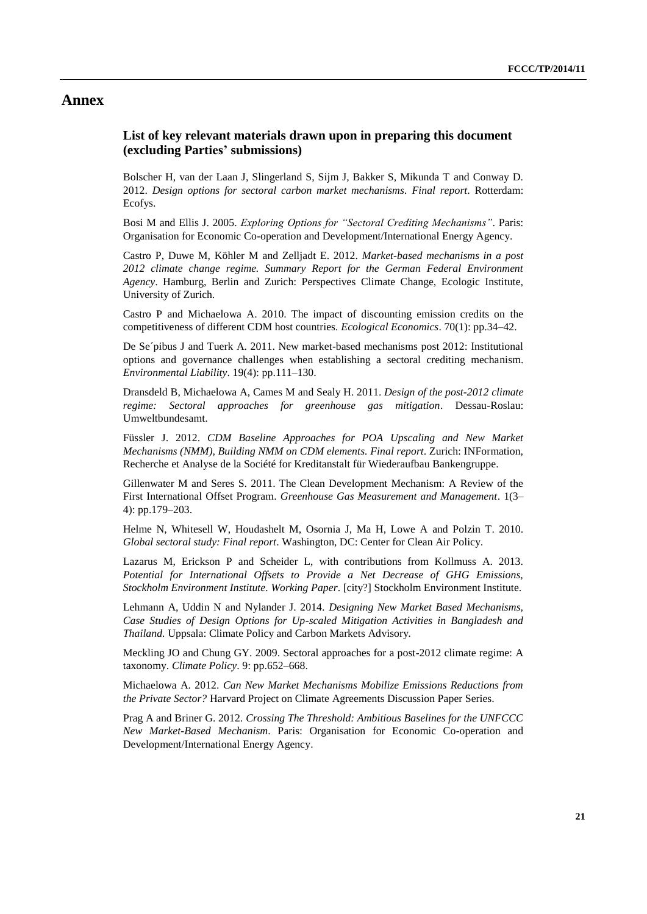# **Annex**

# **List of key relevant materials drawn upon in preparing this document (excluding Parties' submissions)**

Bolscher H, van der Laan J, Slingerland S, Sijm J, Bakker S, Mikunda T and Conway D. 2012. *Design options for sectoral carbon market mechanisms. Final report*. Rotterdam: Ecofys.

Bosi M and Ellis J. 2005. *Exploring Options for "Sectoral Crediting Mechanisms"*. Paris: Organisation for Economic Co-operation and Development/International Energy Agency.

Castro P, Duwe M, Köhler M and Zelljadt E. 2012. *Market-based mechanisms in a post*  2012 climate change regime. Summary Report for the German Federal Environment *Agency*. Hamburg, Berlin and Zurich: Perspectives Climate Change, Ecologic Institute, University of Zurich.

Castro P and Michaelowa A. 2010. The impact of discounting emission credits on the competitiveness of different CDM host countries*. Ecological Economics*. 70(1): pp.34–42.

De Se´pibus J and Tuerk A. 2011. New market-based mechanisms post 2012: Institutional options and governance challenges when establishing a sectoral crediting mechanism. *Environmental Liability*. 19(4): pp.111–130.

Dransdeld B, Michaelowa A, Cames M and Sealy H. 2011. *Design of the post-2012 climate regime: Sectoral approaches for greenhouse gas mitigation*. Dessau-Roslau: Umweltbundesamt.

Füssler J. 2012. *CDM Baseline Approaches for POA Upscaling and New Market Mechanisms (NMM), Building NMM on CDM elements. Final report*. Zurich: INFormation, Recherche et Analyse de la Société for Kreditanstalt für Wiederaufbau Bankengruppe.

Gillenwater M and Seres S. 2011. The Clean Development Mechanism: A Review of the First International Offset Program. *Greenhouse Gas Measurement and Management*. 1(3– 4): pp.179–203.

Helme N, Whitesell W, Houdashelt M, Osornia J, Ma H, Lowe A and Polzin T. 2010. *Global sectoral study: Final report*. Washington, DC: Center for Clean Air Policy.

Lazarus M, Erickson P and Scheider L, with contributions from Kollmuss A. 2013. *Potential for International Offsets to Provide a Net Decrease of GHG Emissions, Stockholm Environment Institute. Working Paper*. [city?] Stockholm Environment Institute.

Lehmann A, Uddin N and Nylander J. 2014. *Designing New Market Based Mechanisms, Case Studies of Design Options for Up-scaled Mitigation Activities in Bangladesh and Thailand.* Uppsala: Climate Policy and Carbon Markets Advisory*.*

Meckling JO and Chung GY. 2009. Sectoral approaches for a post-2012 climate regime: A taxonomy. *Climate Policy*. 9: pp.652–668.

Michaelowa A. 2012. *Can New Market Mechanisms Mobilize Emissions Reductions from the Private Sector?* Harvard Project on Climate Agreements Discussion Paper Series.

Prag A and Briner G. 2012. *Crossing The Threshold: Ambitious Baselines for the UNFCCC New Market-Based Mechanism*. Paris: Organisation for Economic Co-operation and Development/International Energy Agency.